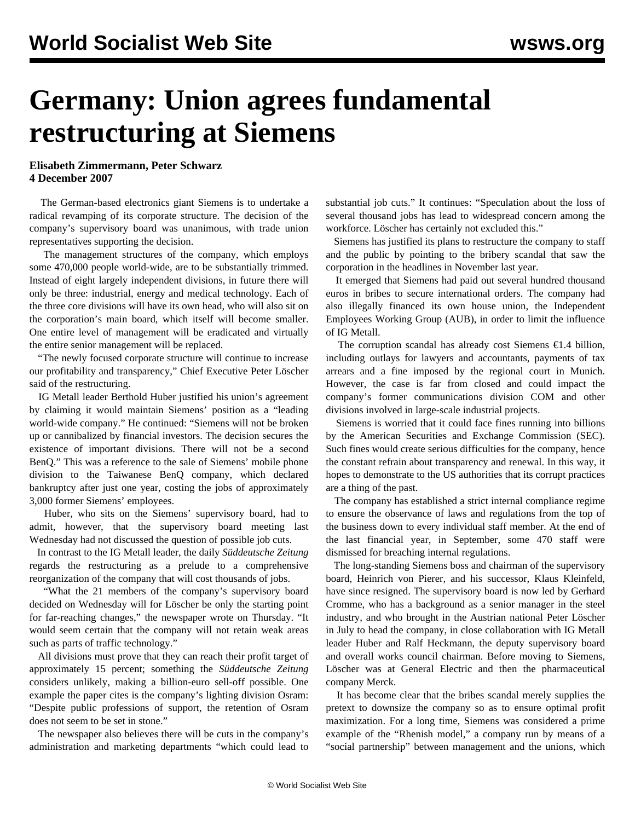## **Germany: Union agrees fundamental restructuring at Siemens**

## **Elisabeth Zimmermann, Peter Schwarz 4 December 2007**

 The German-based electronics giant Siemens is to undertake a radical revamping of its corporate structure. The decision of the company's supervisory board was unanimous, with trade union representatives supporting the decision.

 The management structures of the company, which employs some 470,000 people world-wide, are to be substantially trimmed. Instead of eight largely independent divisions, in future there will only be three: industrial, energy and medical technology. Each of the three core divisions will have its own head, who will also sit on the corporation's main board, which itself will become smaller. One entire level of management will be eradicated and virtually the entire senior management will be replaced.

 "The newly focused corporate structure will continue to increase our profitability and transparency," Chief Executive Peter Löscher said of the restructuring.

 IG Metall leader Berthold Huber justified his union's agreement by claiming it would maintain Siemens' position as a "leading world-wide company." He continued: "Siemens will not be broken up or cannibalized by financial investors. The decision secures the existence of important divisions. There will not be a second BenQ." This was a reference to the sale of Siemens' mobile phone division to the Taiwanese BenQ company, which declared bankruptcy after just one year, costing the jobs of approximately 3,000 former Siemens' employees.

 Huber, who sits on the Siemens' supervisory board, had to admit, however, that the supervisory board meeting last Wednesday had not discussed the question of possible job cuts.

 In contrast to the IG Metall leader, the daily *Süddeutsche Zeitung* regards the restructuring as a prelude to a comprehensive reorganization of the company that will cost thousands of jobs.

 "What the 21 members of the company's supervisory board decided on Wednesday will for Löscher be only the starting point for far-reaching changes," the newspaper wrote on Thursday. "It would seem certain that the company will not retain weak areas such as parts of traffic technology."

 All divisions must prove that they can reach their profit target of approximately 15 percent; something the *Süddeutsche Zeitung* considers unlikely, making a billion-euro sell-off possible. One example the paper cites is the company's lighting division Osram: "Despite public professions of support, the retention of Osram does not seem to be set in stone."

 The newspaper also believes there will be cuts in the company's administration and marketing departments "which could lead to substantial job cuts." It continues: "Speculation about the loss of several thousand jobs has lead to widespread concern among the workforce. Löscher has certainly not excluded this."

 Siemens has justified its plans to restructure the company to staff and the public by pointing to the bribery scandal that saw the corporation in the headlines in November last year.

 It emerged that Siemens had paid out several hundred thousand euros in bribes to secure international orders. The company had also illegally financed its own house union, the Independent Employees Working Group (AUB), in order to limit the influence of IG Metall.

The corruption scandal has already cost Siemens  $\epsilon$ 1.4 billion, including outlays for lawyers and accountants, payments of tax arrears and a fine imposed by the regional court in Munich. However, the case is far from closed and could impact the company's former communications division COM and other divisions involved in large-scale industrial projects.

 Siemens is worried that it could face fines running into billions by the American Securities and Exchange Commission (SEC). Such fines would create serious difficulties for the company, hence the constant refrain about transparency and renewal. In this way, it hopes to demonstrate to the US authorities that its corrupt practices are a thing of the past.

 The company has established a strict internal compliance regime to ensure the observance of laws and regulations from the top of the business down to every individual staff member. At the end of the last financial year, in September, some 470 staff were dismissed for breaching internal regulations.

 The long-standing Siemens boss and chairman of the supervisory board, Heinrich von Pierer, and his successor, Klaus Kleinfeld, have since resigned. The supervisory board is now led by Gerhard Cromme, who has a background as a senior manager in the steel industry, and who brought in the Austrian national Peter Löscher in July to head the company, in close collaboration with IG Metall leader Huber and Ralf Heckmann, the deputy supervisory board and overall works council chairman. Before moving to Siemens, Löscher was at General Electric and then the pharmaceutical company Merck.

 It has become clear that the bribes scandal merely supplies the pretext to downsize the company so as to ensure optimal profit maximization. For a long time, Siemens was considered a prime example of the "Rhenish model," a company run by means of a "social partnership" between management and the unions, which